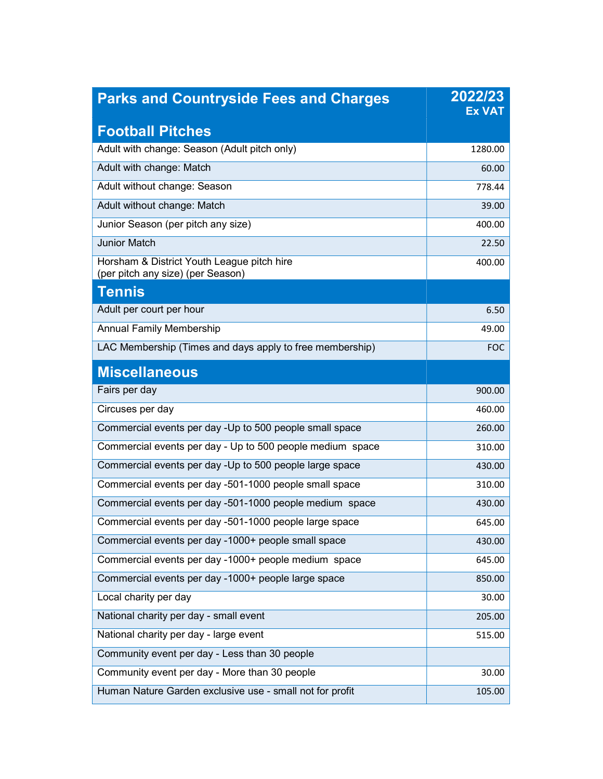| <b>Parks and Countryside Fees and Charges</b>                                   | 2022/23<br><b>Ex VAT</b> |
|---------------------------------------------------------------------------------|--------------------------|
| <b>Football Pitches</b>                                                         |                          |
| Adult with change: Season (Adult pitch only)                                    | 1280.00                  |
| Adult with change: Match                                                        | 60.00                    |
| Adult without change: Season                                                    | 778.44                   |
| Adult without change: Match                                                     | 39.00                    |
| Junior Season (per pitch any size)                                              | 400.00                   |
| <b>Junior Match</b>                                                             | 22.50                    |
| Horsham & District Youth League pitch hire<br>(per pitch any size) (per Season) | 400.00                   |
| <b>Tennis</b>                                                                   |                          |
| Adult per court per hour                                                        | 6.50                     |
| <b>Annual Family Membership</b>                                                 | 49.00                    |
| LAC Membership (Times and days apply to free membership)                        | FOC                      |
| <b>Miscellaneous</b>                                                            |                          |
| Fairs per day                                                                   | 900.00                   |
| Circuses per day                                                                | 460.00                   |
| Commercial events per day -Up to 500 people small space                         | 260.00                   |
| Commercial events per day - Up to 500 people medium space                       | 310.00                   |
| Commercial events per day -Up to 500 people large space                         | 430.00                   |
| Commercial events per day -501-1000 people small space                          | 310.00                   |
| Commercial events per day -501-1000 people medium space                         | 430.00                   |
| Commercial events per day -501-1000 people large space                          | 645.00                   |
| Commercial events per day -1000+ people small space                             | 430.00                   |
| Commercial events per day -1000+ people medium space                            | 645.00                   |
| Commercial events per day -1000+ people large space                             | 850.00                   |
| Local charity per day                                                           | 30.00                    |
| National charity per day - small event                                          | 205.00                   |
| National charity per day - large event                                          | 515.00                   |
| Community event per day - Less than 30 people                                   |                          |
| Community event per day - More than 30 people                                   | 30.00                    |
| Human Nature Garden exclusive use - small not for profit                        | 105.00                   |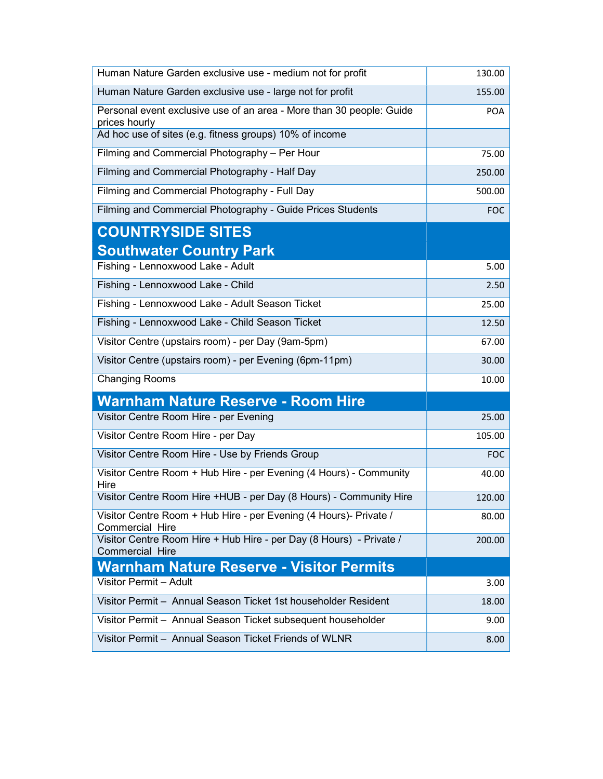| Human Nature Garden exclusive use - medium not for profit                              | 130.00     |
|----------------------------------------------------------------------------------------|------------|
| Human Nature Garden exclusive use - large not for profit                               | 155.00     |
| Personal event exclusive use of an area - More than 30 people: Guide<br>prices hourly  | <b>POA</b> |
| Ad hoc use of sites (e.g. fitness groups) 10% of income                                |            |
| Filming and Commercial Photography - Per Hour                                          | 75.00      |
| Filming and Commercial Photography - Half Day                                          | 250.00     |
| Filming and Commercial Photography - Full Day                                          | 500.00     |
| Filming and Commercial Photography - Guide Prices Students                             | FOC        |
| <b>COUNTRYSIDE SITES</b>                                                               |            |
| <b>Southwater Country Park</b>                                                         |            |
| Fishing - Lennoxwood Lake - Adult                                                      | 5.00       |
| Fishing - Lennoxwood Lake - Child                                                      | 2.50       |
| Fishing - Lennoxwood Lake - Adult Season Ticket                                        | 25.00      |
| Fishing - Lennoxwood Lake - Child Season Ticket                                        | 12.50      |
| Visitor Centre (upstairs room) - per Day (9am-5pm)                                     | 67.00      |
| Visitor Centre (upstairs room) - per Evening (6pm-11pm)                                | 30.00      |
| <b>Changing Rooms</b>                                                                  | 10.00      |
| <b>Warnham Nature Reserve - Room Hire</b>                                              |            |
| Visitor Centre Room Hire - per Evening                                                 | 25.00      |
| Visitor Centre Room Hire - per Day                                                     | 105.00     |
| Visitor Centre Room Hire - Use by Friends Group                                        | FOC        |
| Visitor Centre Room + Hub Hire - per Evening (4 Hours) - Community<br>Hire             | 40.00      |
| Visitor Centre Room Hire +HUB - per Day (8 Hours) - Community Hire                     | 120.00     |
| Visitor Centre Room + Hub Hire - per Evening (4 Hours)- Private /<br>Commercial Hire   | 80.00      |
| Visitor Centre Room Hire + Hub Hire - per Day (8 Hours) - Private /<br>Commercial Hire | 200.00     |
| <b>Warnham Nature Reserve - Visitor Permits</b>                                        |            |
| Visitor Permit - Adult                                                                 | 3.00       |
| Visitor Permit - Annual Season Ticket 1st householder Resident                         | 18.00      |
| Visitor Permit - Annual Season Ticket subsequent householder                           | 9.00       |
| Visitor Permit - Annual Season Ticket Friends of WLNR                                  | 8.00       |